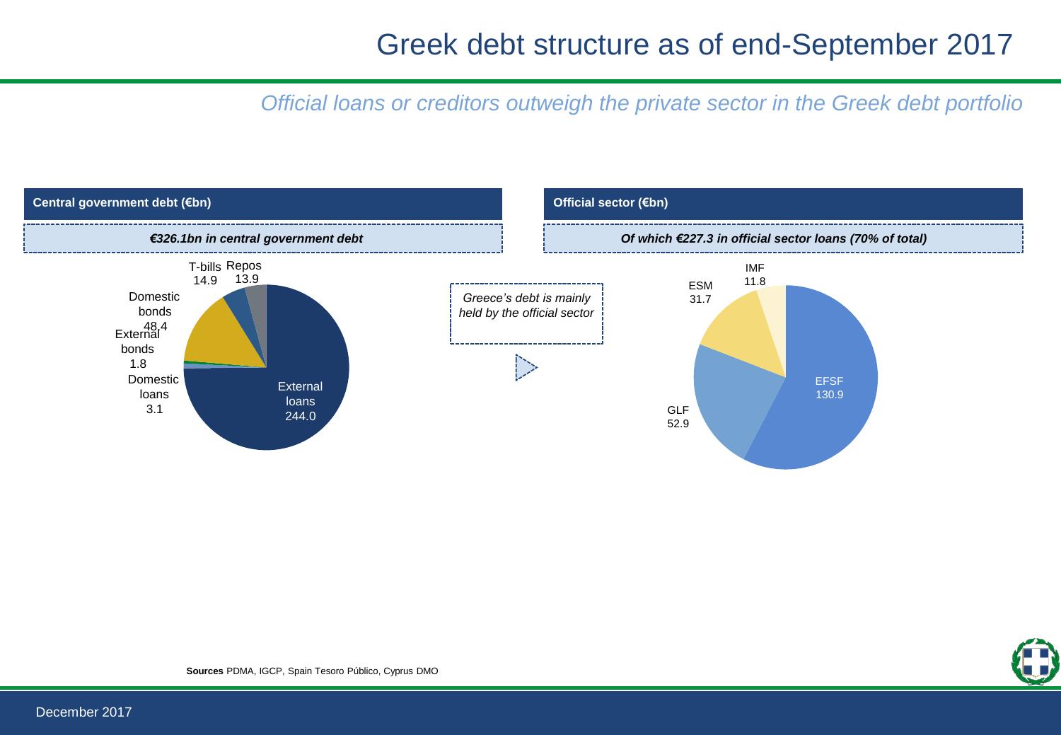### Greek debt structure as of end-September 2017

*Official loans or creditors outweigh the private sector in the Greek debt portfolio* 



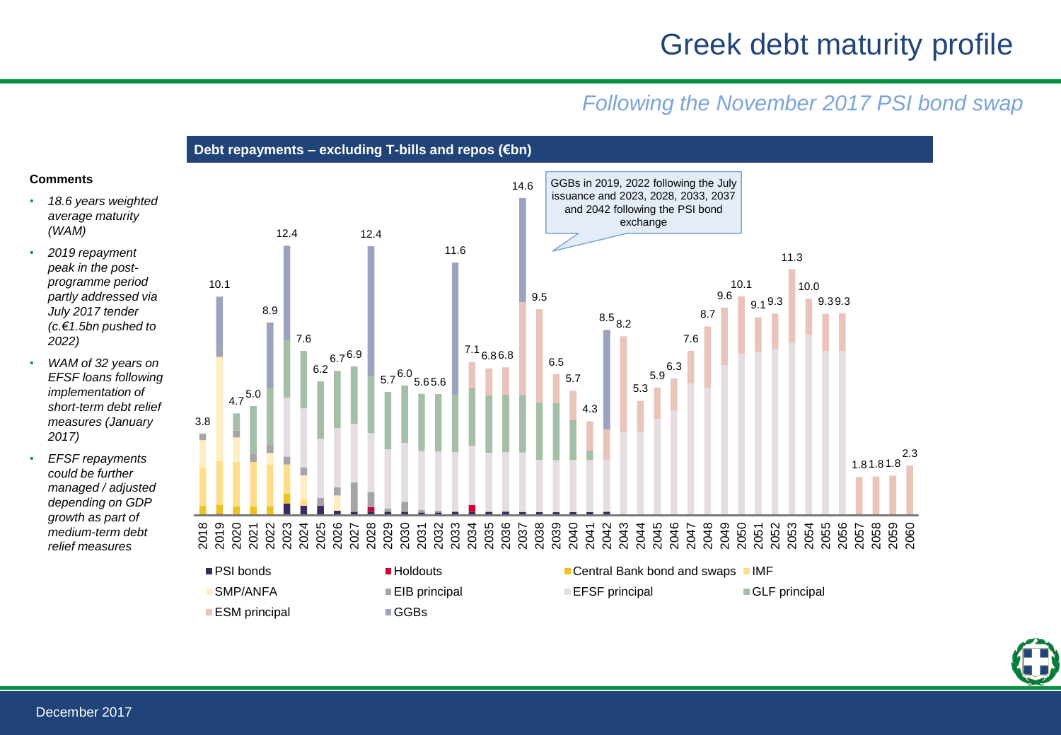### Greek debt maturity profile

#### *Following the November 2017 PSI bond swap*

**Debt repayments – excluding T-bills and repos (€bn)** 

#### **Comments**

- *18.6 years weighted average maturity (WAM)*
- *2019 repayment peak in the postprogramme period partly addressed via July 2017 tender (c.€1.5bn pushed to 2022)*
- *WAM of 32 years on EFSF loans following implementation of short-term debt relief measures (January 2017)*
- *EFSF repayments could be further managed / adjusted depending on GDP growth as part of medium-term debt relief measures*



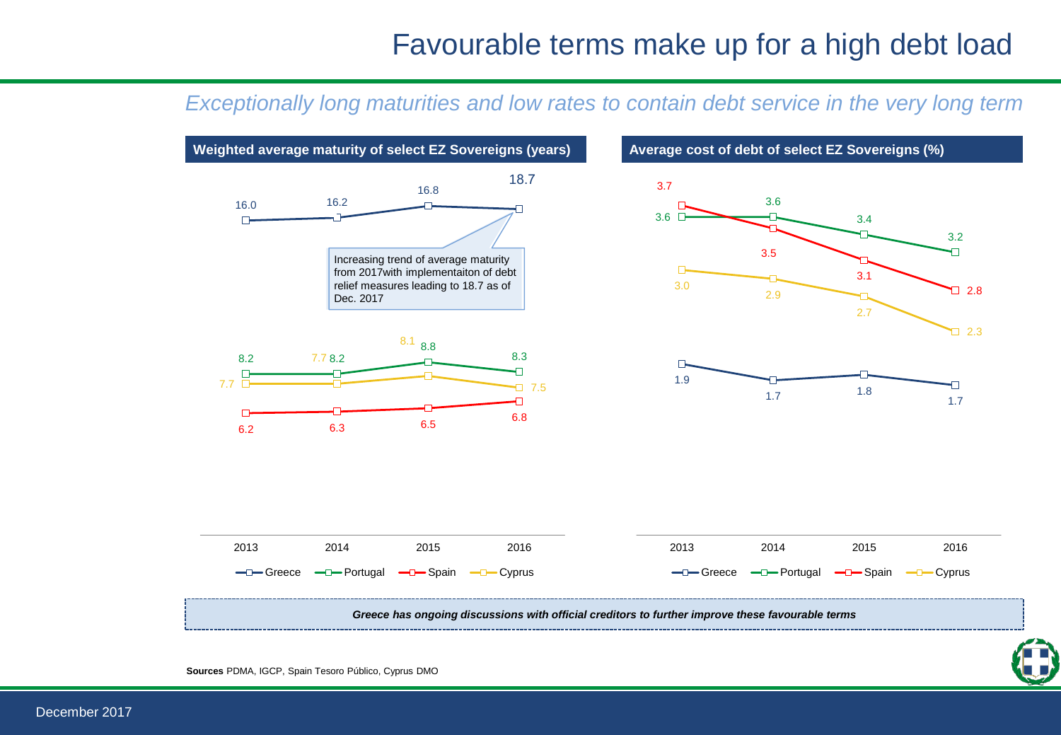### Favourable terms make up for a high debt load

#### *Exceptionally long maturities and low rates to contain debt service in the very long term*



December 2017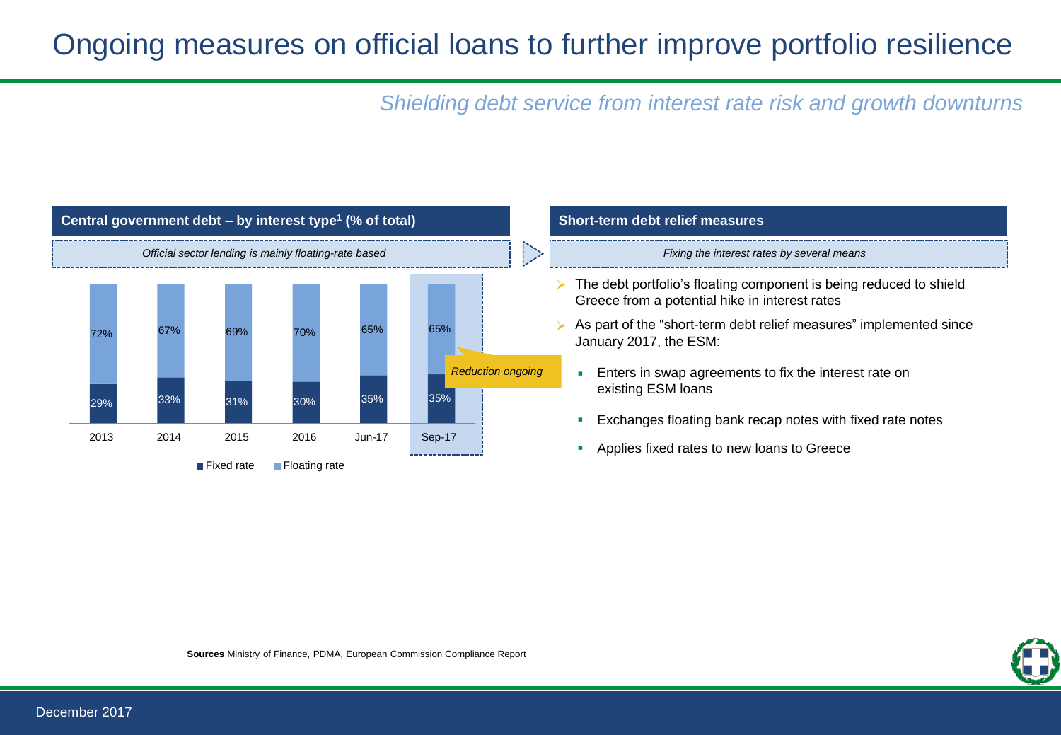# Ongoing measures on official loans to further improve portfolio resilience

*Shielding debt service from interest rate risk and growth downturns* 



# **(% of total) Short-term debt relief measures**

- $\triangleright$  The debt portfolio's floating component is being reduced to shield Greece from a potential hike in interest rates
- As part of the "short-term debt relief measures" implemented since January 2017, the ESM:
	- **Enters in swap agreements to fix the interest rate on** existing ESM loans
	- **Exchanges floating bank recap notes with fixed rate notes**
	- Applies fixed rates to new loans to Greece